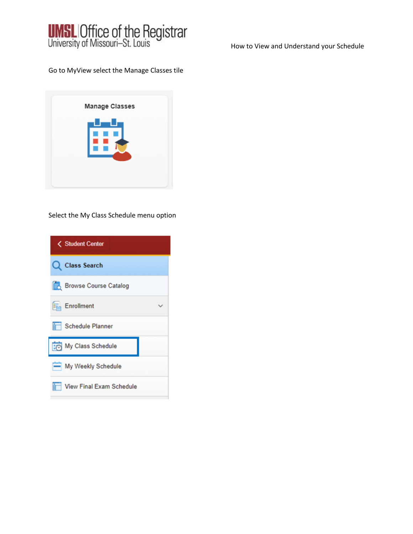

How to View and Understand your Schedule

Go to MyView select the Manage Classes tile

Select the My Class Schedule menu option

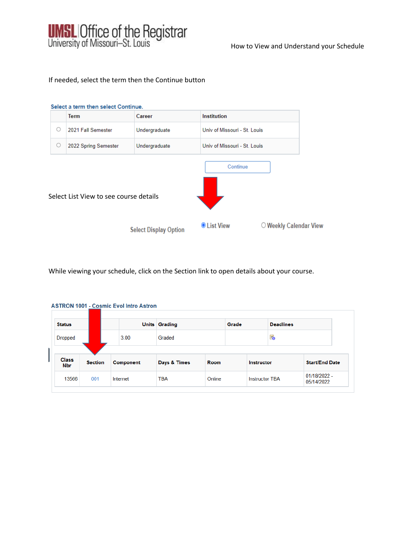

How to View and Understand your Schedule

# If needed, select the term then the Continue button



While viewing your schedule, click on the Section link to open details about your course.

| <b>Status</b>  |                |           | <b>Units Grading</b> |        | Grade |                       | <b>Deadlines</b> |                            |
|----------------|----------------|-----------|----------------------|--------|-------|-----------------------|------------------|----------------------------|
| <b>Dropped</b> |                | 3.00      | Graded               |        |       |                       | E.               |                            |
| <b>Class</b>   |                |           |                      |        |       |                       |                  |                            |
| <b>Nbr</b>     | <b>Section</b> | Component | Days & Times         | Room   |       | <b>Instructor</b>     |                  | <b>Start/End Date</b>      |
| 13566          | 001            | Internet  | <b>TBA</b>           | Online |       | <b>Instructor TBA</b> |                  | 01/18/2022 -<br>05/14/2022 |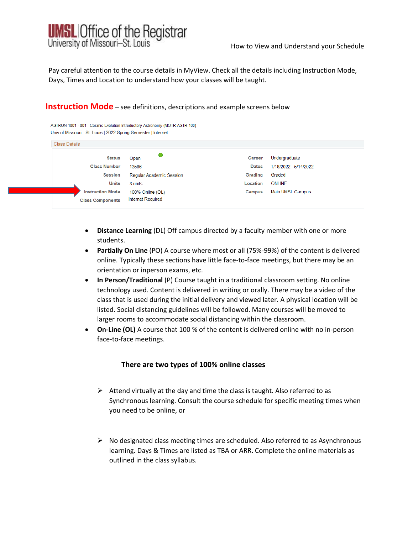

Pay careful attention to the course details in MyView. Check all the details including Instruction Mode, Days, Times and Location to understand how your classes will be taught.

# **Instruction Mode** – see definitions, descriptions and example screens below

ASTRON 1001 - 001 Cosmic Evolution Introductory Astronomy (MOTR ASTR 100) Univ of Missouri - St. Louis L2022 Spring Semester Unternet

| <b>Status</b>           | Open                            | Career       | Undergraduate         |
|-------------------------|---------------------------------|--------------|-----------------------|
| <b>Class Number</b>     | 13566                           | <b>Dates</b> | 1/18/2022 - 5/14/2022 |
| <b>Session</b>          | <b>Regular Academic Session</b> | Grading      | Graded                |
| <b>Units</b>            | 3 units                         | Location     | <b>ONLINE</b>         |
| <b>Instruction Mode</b> | 100% Online (OL)                | Campus       | Main UMSL Campus      |
| <b>Class Components</b> | <b>Internet Required</b>        |              |                       |

- **Distance Learning** (DL) Off campus directed by a faculty member with one or more students.
- **Partially On Line** (PO) A course where most or all (75%-99%) of the content is delivered online. Typically these sections have little face-to-face meetings, but there may be an orientation or inperson exams, etc.
- **In Person/Traditional** (P) Course taught in a traditional classroom setting. No online technology used. Content is delivered in writing or orally. There may be a video of the class that is used during the initial delivery and viewed later. A physical location will be listed. Social distancing guidelines will be followed. Many courses will be moved to larger rooms to accommodate social distancing within the classroom.
- **On-Line (OL)** A course that 100 % of the content is delivered online with no in-person face-to-face meetings.

## **There are two types of 100% online classes**

- $\triangleright$  Attend virtually at the day and time the class is taught. Also referred to as Synchronous learning. Consult the course schedule for specific meeting times when you need to be online, or
- $\triangleright$  No designated class meeting times are scheduled. Also referred to as Asynchronous learning. Days & Times are listed as TBA or ARR. Complete the online materials as outlined in the class syllabus.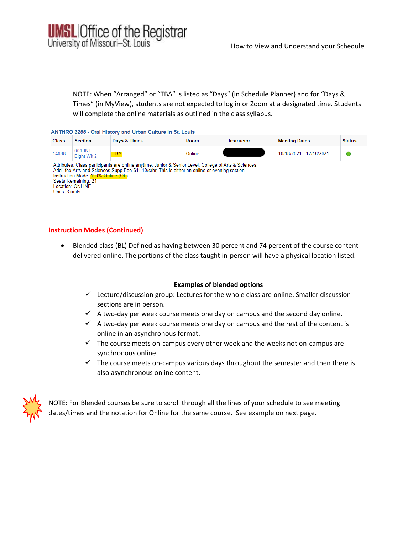

NOTE: When "Arranged" or "TBA" is listed as "Days" (in Schedule Planner) and for "Days & Times" (in MyView), students are not expected to log in or Zoom at a designated time. Students will complete the online materials as outlined in the class syllabus.

#### ANTHRO 3255 - Oral History and Urban Culture in St. Louis

| <b>Class</b> | <b>Section</b>           | Days & Times                                                                                          | Room   | Instructor | <b>Meeting Dates</b>    | <b>Status</b> |
|--------------|--------------------------|-------------------------------------------------------------------------------------------------------|--------|------------|-------------------------|---------------|
| 14088        | $001$ -INT<br>Eight Wk 2 | ГВА                                                                                                   | Online |            | 10/18/2021 - 12/18/2021 |               |
|              |                          | Attributes: Class participants are online anytime, Junior & Senior Level, College of Arts & Sciences, |        |            |                         |               |

Add'l fee:Arts and Sciences Supp Fee-\$11.10/crhr, This is either an online or evening section. Instruction Mode: 100% Online (OL)<br>Seats Remaining: 21 Location: ONLINE Units: 3 units

### **Instruction Modes (Continued)**

 Blended class (BL) Defined as having between 30 percent and 74 percent of the course content delivered online. The portions of the class taught in-person will have a physical location listed.

#### **Examples of blended options**

- $\checkmark$  Lecture/discussion group: Lectures for the whole class are online. Smaller discussion sections are in person.
- $\checkmark$  A two-day per week course meets one day on campus and the second day online.
- $\checkmark$  A two-day per week course meets one day on campus and the rest of the content is online in an asynchronous format.
- $\checkmark$  The course meets on-campus every other week and the weeks not on-campus are synchronous online.
- $\checkmark$  The course meets on-campus various days throughout the semester and then there is also asynchronous online content.



NOTE: For Blended courses be sure to scroll through all the lines of your schedule to see meeting dates/times and the notation for Online for the same course. See example on next page.